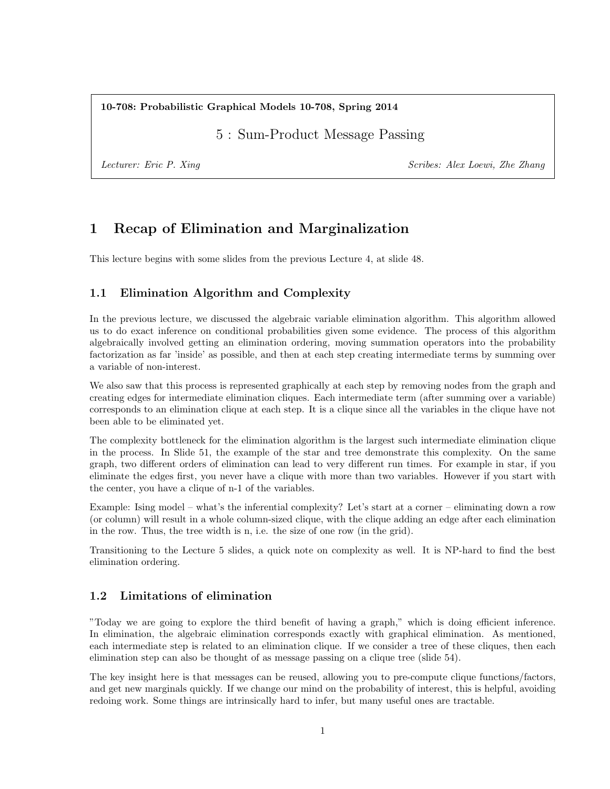10-708: Probabilistic Graphical Models 10-708, Spring 2014

5 : Sum-Product Message Passing

Lecturer: Eric P. Xing Scribes: Alex Loewi, Zhe Zhang Scribes: Alex Loewi, Zhe Zhang

# 1 Recap of Elimination and Marginalization

This lecture begins with some slides from the previous Lecture 4, at slide 48.

## 1.1 Elimination Algorithm and Complexity

In the previous lecture, we discussed the algebraic variable elimination algorithm. This algorithm allowed us to do exact inference on conditional probabilities given some evidence. The process of this algorithm algebraically involved getting an elimination ordering, moving summation operators into the probability factorization as far 'inside' as possible, and then at each step creating intermediate terms by summing over a variable of non-interest.

We also saw that this process is represented graphically at each step by removing nodes from the graph and creating edges for intermediate elimination cliques. Each intermediate term (after summing over a variable) corresponds to an elimination clique at each step. It is a clique since all the variables in the clique have not been able to be eliminated yet.

The complexity bottleneck for the elimination algorithm is the largest such intermediate elimination clique in the process. In Slide 51, the example of the star and tree demonstrate this complexity. On the same graph, two different orders of elimination can lead to very different run times. For example in star, if you eliminate the edges first, you never have a clique with more than two variables. However if you start with the center, you have a clique of n-1 of the variables.

Example: Ising model – what's the inferential complexity? Let's start at a corner – eliminating down a row (or column) will result in a whole column-sized clique, with the clique adding an edge after each elimination in the row. Thus, the tree width is n, i.e. the size of one row (in the grid).

Transitioning to the Lecture 5 slides, a quick note on complexity as well. It is NP-hard to find the best elimination ordering.

## 1.2 Limitations of elimination

"Today we are going to explore the third benefit of having a graph," which is doing efficient inference. In elimination, the algebraic elimination corresponds exactly with graphical elimination. As mentioned, each intermediate step is related to an elimination clique. If we consider a tree of these cliques, then each elimination step can also be thought of as message passing on a clique tree (slide 54).

The key insight here is that messages can be reused, allowing you to pre-compute clique functions/factors, and get new marginals quickly. If we change our mind on the probability of interest, this is helpful, avoiding redoing work. Some things are intrinsically hard to infer, but many useful ones are tractable.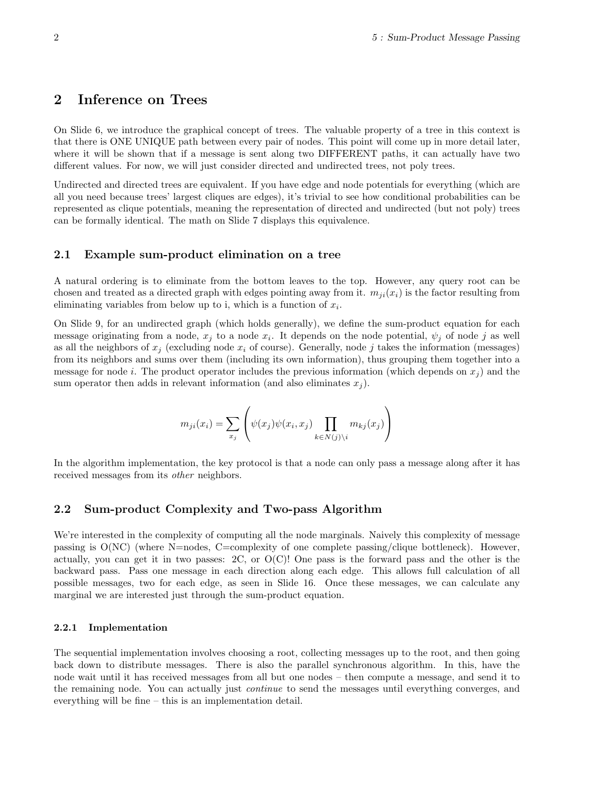## 2 Inference on Trees

On Slide 6, we introduce the graphical concept of trees. The valuable property of a tree in this context is that there is ONE UNIQUE path between every pair of nodes. This point will come up in more detail later, where it will be shown that if a message is sent along two DIFFERENT paths, it can actually have two different values. For now, we will just consider directed and undirected trees, not poly trees.

Undirected and directed trees are equivalent. If you have edge and node potentials for everything (which are all you need because trees' largest cliques are edges), it's trivial to see how conditional probabilities can be represented as clique potentials, meaning the representation of directed and undirected (but not poly) trees can be formally identical. The math on Slide 7 displays this equivalence.

#### 2.1 Example sum-product elimination on a tree

A natural ordering is to eliminate from the bottom leaves to the top. However, any query root can be chosen and treated as a directed graph with edges pointing away from it.  $m_{ii}(x_i)$  is the factor resulting from eliminating variables from below up to i, which is a function of  $x_i$ .

On Slide 9, for an undirected graph (which holds generally), we define the sum-product equation for each message originating from a node,  $x_j$  to a node  $x_i$ . It depends on the node potential,  $\psi_j$  of node j as well as all the neighbors of  $x_i$  (excluding node  $x_i$  of course). Generally, node j takes the information (messages) from its neighbors and sums over them (including its own information), thus grouping them together into a message for node i. The product operator includes the previous information (which depends on  $x_i$ ) and the sum operator then adds in relevant information (and also eliminates  $x_i$ ).

$$
m_{ji}(x_i) = \sum_{x_j} \left( \psi(x_j) \psi(x_i, x_j) \prod_{k \in N(j) \setminus i} m_{kj}(x_j) \right)
$$

In the algorithm implementation, the key protocol is that a node can only pass a message along after it has received messages from its other neighbors.

#### 2.2 Sum-product Complexity and Two-pass Algorithm

We're interested in the complexity of computing all the node marginals. Naively this complexity of message passing is  $O(NC)$  (where N=nodes, C=complexity of one complete passing/clique bottleneck). However, actually, you can get it in two passes:  $2C$ , or  $O(C)$ ! One pass is the forward pass and the other is the backward pass. Pass one message in each direction along each edge. This allows full calculation of all possible messages, two for each edge, as seen in Slide 16. Once these messages, we can calculate any marginal we are interested just through the sum-product equation.

#### 2.2.1 Implementation

The sequential implementation involves choosing a root, collecting messages up to the root, and then going back down to distribute messages. There is also the parallel synchronous algorithm. In this, have the node wait until it has received messages from all but one nodes – then compute a message, and send it to the remaining node. You can actually just continue to send the messages until everything converges, and everything will be fine – this is an implementation detail.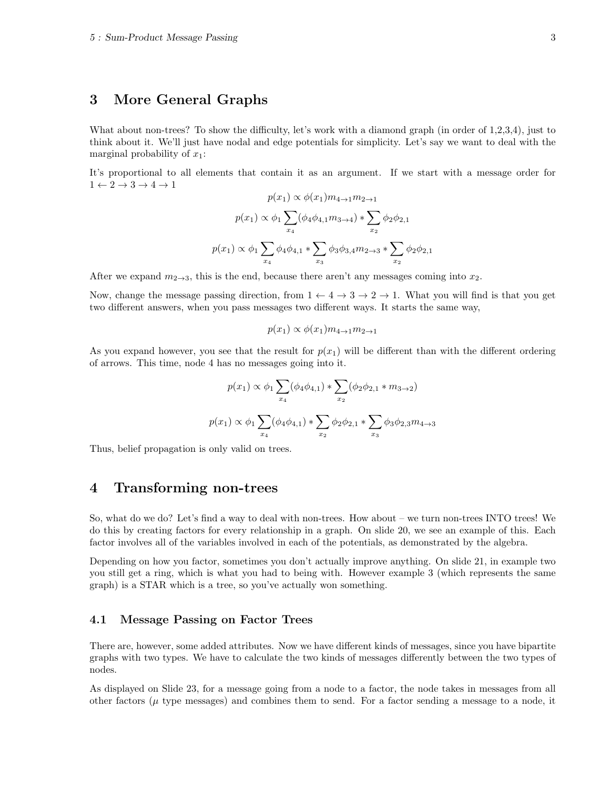## 3 More General Graphs

What about non-trees? To show the difficulty, let's work with a diamond graph (in order of 1,2,3,4), just to think about it. We'll just have nodal and edge potentials for simplicity. Let's say we want to deal with the marginal probability of  $x_1$ :

It's proportional to all elements that contain it as an argument. If we start with a message order for  $1 \leftarrow 2 \rightarrow 3 \rightarrow 4 \rightarrow 1$ 

$$
p(x_1) \propto \phi(x_1) m_{4\to 1} m_{2\to 1}
$$

$$
p(x_1) \propto \phi_1 \sum_{x_4} (\phi_4 \phi_{4,1} m_{3\to 4}) * \sum_{x_2} \phi_2 \phi_{2,1}
$$

$$
p(x_1) \propto \phi_1 \sum_{x_4} \phi_4 \phi_{4,1} * \sum_{x_3} \phi_3 \phi_{3,4} m_{2\to 3} * \sum_{x_2} \phi_2 \phi_{2,1}
$$

After we expand  $m_{2\to 3}$ , this is the end, because there aren't any messages coming into  $x_2$ .

Now, change the message passing direction, from  $1 \leftarrow 4 \rightarrow 3 \rightarrow 2 \rightarrow 1$ . What you will find is that you get two different answers, when you pass messages two different ways. It starts the same way,

$$
p(x_1) \propto \phi(x_1) m_{4\to 1} m_{2\to 1}
$$

As you expand however, you see that the result for  $p(x_1)$  will be different than with the different ordering of arrows. This time, node 4 has no messages going into it.

$$
p(x_1) \propto \phi_1 \sum_{x_4} (\phi_4 \phi_{4,1}) * \sum_{x_2} (\phi_2 \phi_{2,1} * m_{3 \to 2})
$$
  

$$
p(x_1) \propto \phi_1 \sum_{x_4} (\phi_4 \phi_{4,1}) * \sum_{x_2} \phi_2 \phi_{2,1} * \sum_{x_3} \phi_3 \phi_{2,3} m_{4 \to 3}
$$

Thus, belief propagation is only valid on trees.

## 4 Transforming non-trees

So, what do we do? Let's find a way to deal with non-trees. How about – we turn non-trees INTO trees! We do this by creating factors for every relationship in a graph. On slide 20, we see an example of this. Each factor involves all of the variables involved in each of the potentials, as demonstrated by the algebra.

Depending on how you factor, sometimes you don't actually improve anything. On slide 21, in example two you still get a ring, which is what you had to being with. However example 3 (which represents the same graph) is a STAR which is a tree, so you've actually won something.

## 4.1 Message Passing on Factor Trees

There are, however, some added attributes. Now we have different kinds of messages, since you have bipartite graphs with two types. We have to calculate the two kinds of messages differently between the two types of nodes.

As displayed on Slide 23, for a message going from a node to a factor, the node takes in messages from all other factors ( $\mu$  type messages) and combines them to send. For a factor sending a message to a node, it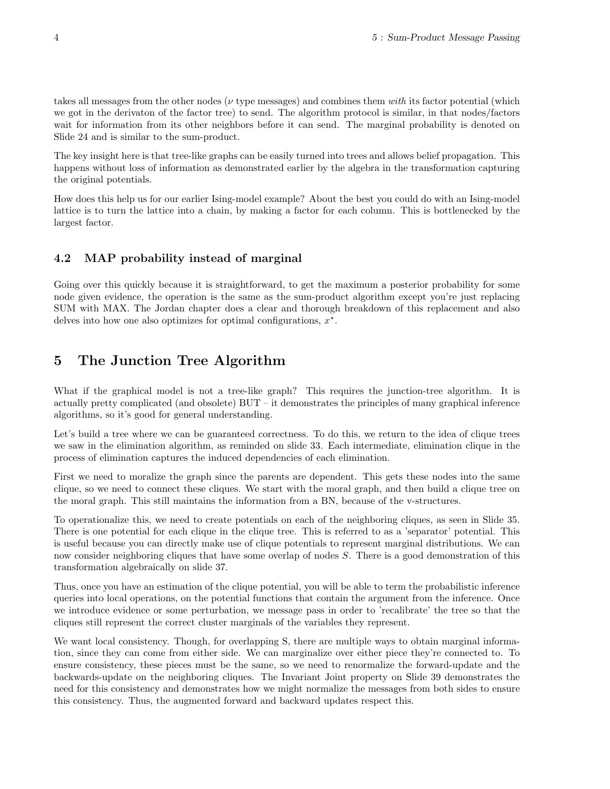takes all messages from the other nodes ( $\nu$  type messages) and combines them with its factor potential (which we got in the derivaton of the factor tree) to send. The algorithm protocol is similar, in that nodes/factors wait for information from its other neighbors before it can send. The marginal probability is denoted on Slide 24 and is similar to the sum-product.

The key insight here is that tree-like graphs can be easily turned into trees and allows belief propagation. This happens without loss of information as demonstrated earlier by the algebra in the transformation capturing the original potentials.

How does this help us for our earlier Ising-model example? About the best you could do with an Ising-model lattice is to turn the lattice into a chain, by making a factor for each column. This is bottlenecked by the largest factor.

## 4.2 MAP probability instead of marginal

Going over this quickly because it is straightforward, to get the maximum a posterior probability for some node given evidence, the operation is the same as the sum-product algorithm except you're just replacing SUM with MAX. The Jordan chapter does a clear and thorough breakdown of this replacement and also delves into how one also optimizes for optimal configurations,  $x^*$ .

# 5 The Junction Tree Algorithm

What if the graphical model is not a tree-like graph? This requires the junction-tree algorithm. It is actually pretty complicated (and obsolete) BUT – it demonstrates the principles of many graphical inference algorithms, so it's good for general understanding.

Let's build a tree where we can be guaranteed correctness. To do this, we return to the idea of clique trees we saw in the elimination algorithm, as reminded on slide 33. Each intermediate, elimination clique in the process of elimination captures the induced dependencies of each elimination.

First we need to moralize the graph since the parents are dependent. This gets these nodes into the same clique, so we need to connect these cliques. We start with the moral graph, and then build a clique tree on the moral graph. This still maintains the information from a BN, because of the v-structures.

To operationalize this, we need to create potentials on each of the neighboring cliques, as seen in Slide 35. There is one potential for each clique in the clique tree. This is referred to as a 'separator' potential. This is useful because you can directly make use of clique potentials to represent marginal distributions. We can now consider neighboring cliques that have some overlap of nodes S. There is a good demonstration of this transformation algebraically on slide 37.

Thus, once you have an estimation of the clique potential, you will be able to term the probabilistic inference queries into local operations, on the potential functions that contain the argument from the inference. Once we introduce evidence or some perturbation, we message pass in order to 'recalibrate' the tree so that the cliques still represent the correct cluster marginals of the variables they represent.

We want local consistency. Though, for overlapping S, there are multiple ways to obtain marginal information, since they can come from either side. We can marginalize over either piece they're connected to. To ensure consistency, these pieces must be the same, so we need to renormalize the forward-update and the backwards-update on the neighboring cliques. The Invariant Joint property on Slide 39 demonstrates the need for this consistency and demonstrates how we might normalize the messages from both sides to ensure this consistency. Thus, the augmented forward and backward updates respect this.